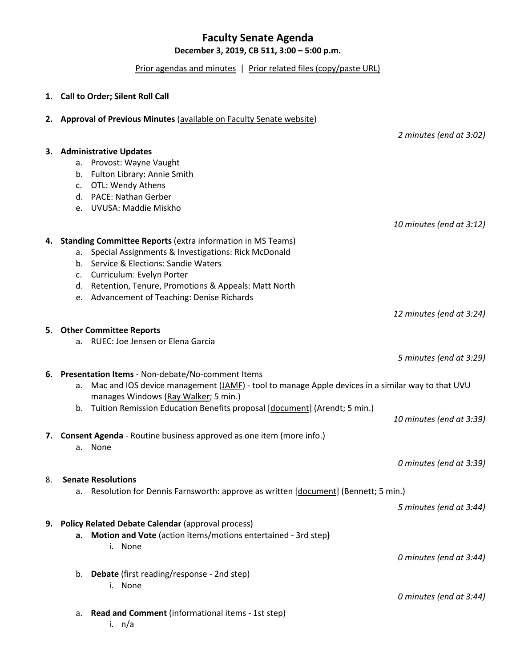# **Faculty Senate Agenda**

**December 3, 2019, CB 511, 3:00 – 5:00 p.m.**

[Prior agendas and minutes](https://www.uvu.edu/facsenate/minutes.html) | [Prior related files \(copy/paste URL\)](https://drive.google.com/open?id=1Ok1EEKR4nqPNa_8uRWsFnCddv-v-buNh)

|                                                                       | 1. Call to Order; Silent Roll Call                                                                     |                          |
|-----------------------------------------------------------------------|--------------------------------------------------------------------------------------------------------|--------------------------|
| 2. Approval of Previous Minutes (available on Faculty Senate website) |                                                                                                        |                          |
|                                                                       |                                                                                                        | 2 minutes (end at 3:02)  |
|                                                                       |                                                                                                        |                          |
|                                                                       | 3. Administrative Updates<br>Provost: Wayne Vaught                                                     |                          |
|                                                                       | а.<br>b. Fulton Library: Annie Smith                                                                   |                          |
|                                                                       |                                                                                                        |                          |
|                                                                       | c. OTL: Wendy Athens<br>d. PACE: Nathan Gerber                                                         |                          |
|                                                                       | e. UVUSA: Maddie Miskho                                                                                |                          |
|                                                                       |                                                                                                        |                          |
|                                                                       |                                                                                                        | 10 minutes (end at 3:12) |
|                                                                       | 4. Standing Committee Reports (extra information in MS Teams)                                          |                          |
|                                                                       | a. Special Assignments & Investigations: Rick McDonald                                                 |                          |
|                                                                       | b. Service & Elections: Sandie Waters                                                                  |                          |
|                                                                       | c. Curriculum: Evelyn Porter                                                                           |                          |
|                                                                       | d. Retention, Tenure, Promotions & Appeals: Matt North                                                 |                          |
|                                                                       | e. Advancement of Teaching: Denise Richards                                                            |                          |
|                                                                       |                                                                                                        |                          |
|                                                                       |                                                                                                        | 12 minutes (end at 3:24) |
|                                                                       | 5. Other Committee Reports                                                                             |                          |
|                                                                       | a. RUEC: Joe Jensen or Elena Garcia                                                                    |                          |
|                                                                       |                                                                                                        |                          |
|                                                                       |                                                                                                        | 5 minutes (end at 3:29)  |
|                                                                       | 6. Presentation Items - Non-debate/No-comment Items                                                    |                          |
|                                                                       | Mac and IOS device management (JAMF) - tool to manage Apple devices in a similar way to that UVU<br>а. |                          |
|                                                                       | manages Windows (Ray Walker; 5 min.)                                                                   |                          |
|                                                                       | b. Tuition Remission Education Benefits proposal [document] (Arendt; 5 min.)                           |                          |
|                                                                       |                                                                                                        | 10 minutes (end at 3:39) |
|                                                                       | 7. Consent Agenda - Routine business approved as one item (more info.)                                 |                          |
|                                                                       | a. None                                                                                                |                          |
|                                                                       |                                                                                                        |                          |
|                                                                       |                                                                                                        | 0 minutes (end at 3:39)  |
| 8.                                                                    | <b>Senate Resolutions</b>                                                                              |                          |
|                                                                       | a. Resolution for Dennis Farnsworth: approve as written [document] (Bennett; 5 min.)                   |                          |
|                                                                       |                                                                                                        |                          |
|                                                                       |                                                                                                        | 5 minutes (end at 3:44)  |
|                                                                       | 9. Policy Related Debate Calendar (approval process)                                                   |                          |
|                                                                       | a. Motion and Vote (action items/motions entertained - 3rd step)                                       |                          |
|                                                                       | i. None                                                                                                |                          |
|                                                                       |                                                                                                        | 0 minutes (end at 3:44)  |
|                                                                       |                                                                                                        |                          |
|                                                                       | Debate (first reading/response - 2nd step)<br>b.                                                       |                          |
|                                                                       | i. None                                                                                                |                          |
|                                                                       |                                                                                                        | 0 minutes (end at 3:44)  |
|                                                                       | Read and Comment (informational items - 1st step)<br>а.                                                |                          |
|                                                                       | i. $n/a$                                                                                               |                          |
|                                                                       |                                                                                                        |                          |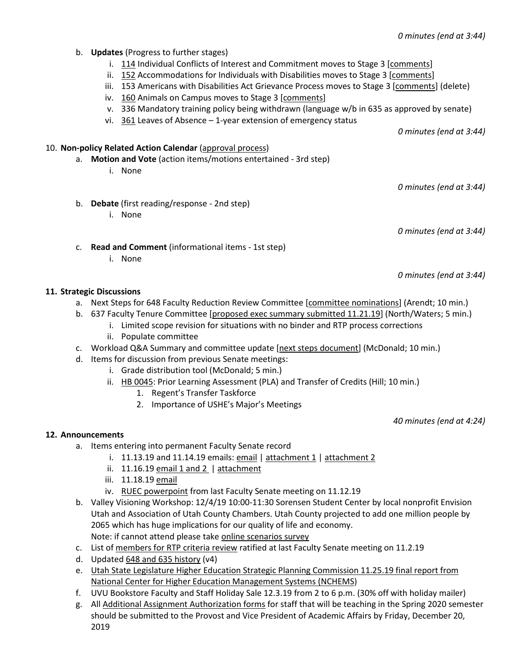- b. **Updates** (Progress to further stages)
	- i. [114](https://policy.uvu.edu/getDisplayFile/5639005865db23201153c1d4) Individual Conflicts of Interest and Commitment moves to Stage 3 [\[comments\]](https://www.uvu.edu/policies/comment-form.php)
	- ii. [152](https://policy.uvu.edu/getDisplayFile/5cb0e886daf5b46741c6a031) Accommodations for Individuals with Disabilities moves to Stage 3 [\[comments\]](https://www.uvu.edu/policies/comment-form.php)
	- iii. 153 Americans with Disabilities Act Grievance Process moves to Stage 3 [\[comments\]](https://www.uvu.edu/policies/comment-form.php) (delete)
	- iv. [160](https://policy.uvu.edu/getDisplayFile/5cb10846daf5b46741c6a036) Animals on Campus moves to Stage 3 [\[comments\]](https://www.uvu.edu/policies/comment-form.php)
	- v. 336 Mandatory training policy being withdrawn (language w/b in 635 as approved by senate)
	- vi. [361](https://policy.uvu.edu/getDisplayFile/5c37ce45b64c5bb039a62fac) Leaves of Absence 1-year extension of emergency status

*0 minutes (end at 3:44)*

### 10. **Non-policy Related Action Calendar** [\(approval process\)](https://docs.google.com/document/d/1ZysEECw97M4r9WoDRP43UkiTuGeuK0QIeYit67dJEWs/edit?usp=sharing)

- a. **Motion and Vote** (action items/motions entertained 3rd step)
	- i. None

*0 minutes (end at 3:44)*

- b. **Debate** (first reading/response 2nd step)
	- i. None

*0 minutes (end at 3:44)*

*0 minutes (end at 3:44)*

c. **Read and Comment** (informational items - 1st step)

i. None

#### **11. Strategic Discussions**

- a. Next Steps for 648 Faculty Reduction Review Committee [\[committee nominations\]](https://drive.google.com/open?id=1sy6_l4n02lQbvo5vo9pp3Qft7S0bxGg-) (Arendt; 10 min.)
- b. 637 Faculty Tenure Committee [\[proposed exec summary submitted 11.21.19\]](https://drive.google.com/open?id=1qrV3T0TIiqvA9YVCKEJLNs2VQ2Xn5t4F) (North/Waters; 5 min.)
	- i. Limited scope revision for situations with no binder and RTP process corrections ii. Populate committee
- c. Workload Q&A Summary and committee update [\[next steps document\]](https://drive.google.com/open?id=1g5mxDBWY1s_MZfbZnxpTanreBddX1ZZX) (McDonald; 10 min.)
- d. Items for discussion from previous Senate meetings:
	- i. Grade distribution tool (McDonald; 5 min.)
	- ii. [HB 0045:](https://le.utah.gov/%7E2019/bills/static/HB0045.html) Prior Learning Assessment (PLA) and Transfer of Credits (Hill; 10 min.)
		- 1. Regent's Transfer Taskforce
		- 2. Importance of USHE's Major's Meetings

*40 minutes (end at 4:24)*

### **12. Announcements**

- a. Items entering into permanent Faculty Senate record
	- i. 11.13.19 and 11.14.19 emails[: email](https://drive.google.com/open?id=192CoOTFGQK1hugg9cofEXpIeJvI0lxRg) | [attachment 1](https://drive.google.com/open?id=1HW-ZeugCBHH07eKLWccL2E_9Q9_1p30n) | [attachment 2](https://drive.google.com/open?id=1HjsPJFz_mf3Wc2ma7iVmfofVYL_YZVEh)
	- ii.  $11.16.19$  email 1 and 2 | [attachment](https://drive.google.com/open?id=1Hg08dx9Z75hZ-7_uu2GWKN4FRlV7BNEX)
	- iii. 11.18.1[9 email](https://drive.google.com/open?id=1JGpsR73ebIMhxxVtofuZQ72WvMZzwm4B)
	- iv. [RUEC powerpoint](https://drive.google.com/open?id=1lii65eQOUbOK0ebO4Fn2bkV9U6MTsiDw) from last Faculty Senate meeting on 11.12.19
- b. Valley Visioning Workshop: 12/4/19 10:00-11:30 Sorensen Student Center by local nonprofit Envision Utah and Association of Utah County Chambers. Utah County projected to add one million people by 2065 which has huge implications for our quality of life and economy. Note: if cannot attend please tak[e online scenarios survey](http://www.valleyvisioningsurvey.org/)
- c. List of [members for RTP criteria review](https://drive.google.com/open?id=1-t0uU_aSGXs_IkZZjH7aK4gUJwJD0A3L) ratified at last Faculty Senate meeting on 11.2.19
- d. Updated [648 and 635 history](https://drive.google.com/open?id=11yLYfie5ke6zHquZidEwdQIGFfwqxT5Y) (v4)
- e. [Utah State Legislature Higher Education Strategic Planning Commission 11.25.19 final report from](https://le.utah.gov/asp/interim/Commit.asp?Year=2019&Com=SPEHEP)  [National Center for Higher Education Management Systems \(NCHEMS\)](https://le.utah.gov/asp/interim/Commit.asp?Year=2019&Com=SPEHEP)
- f. UVU Bookstore Faculty and Staff Holiday Sale 12.3.19 from 2 to 6 p.m. (30% off with holiday mailer)
- g. All [Additional Assignment Authorization forms](https://drive.google.com/open?id=1uR24Rxyi0o0nWvfNwT1c9PcbUrHZScsf) for staff that will be teaching in the Spring 2020 semester should be submitted to the Provost and Vice President of Academic Affairs by Friday, December 20, 2019